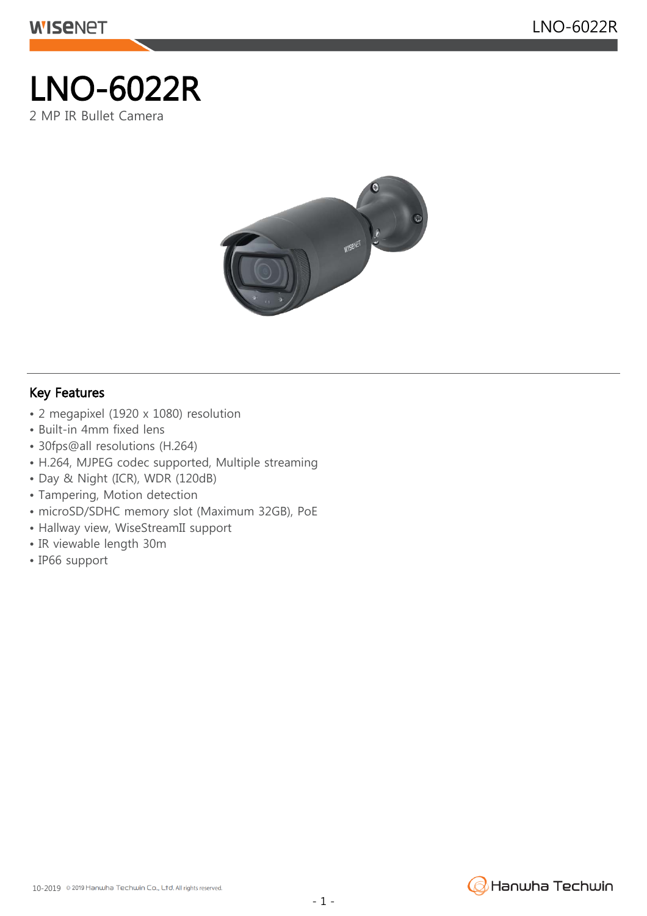## LNO-6022R 2 MP IR Bullet Camera



## Key Features

- 2 megapixel (1920 x 1080) resolution
- Built-in 4mm fixed lens
- 30fps@all resolutions (H.264)
- H.264, MJPEG codec supported, Multiple streaming
- Day & Night (ICR), WDR (120dB)
- Tampering, Motion detection
- microSD/SDHC memory slot (Maximum 32GB), PoE
- Hallway view, WiseStreamII support
- IR viewable length 30m
- IP66 support

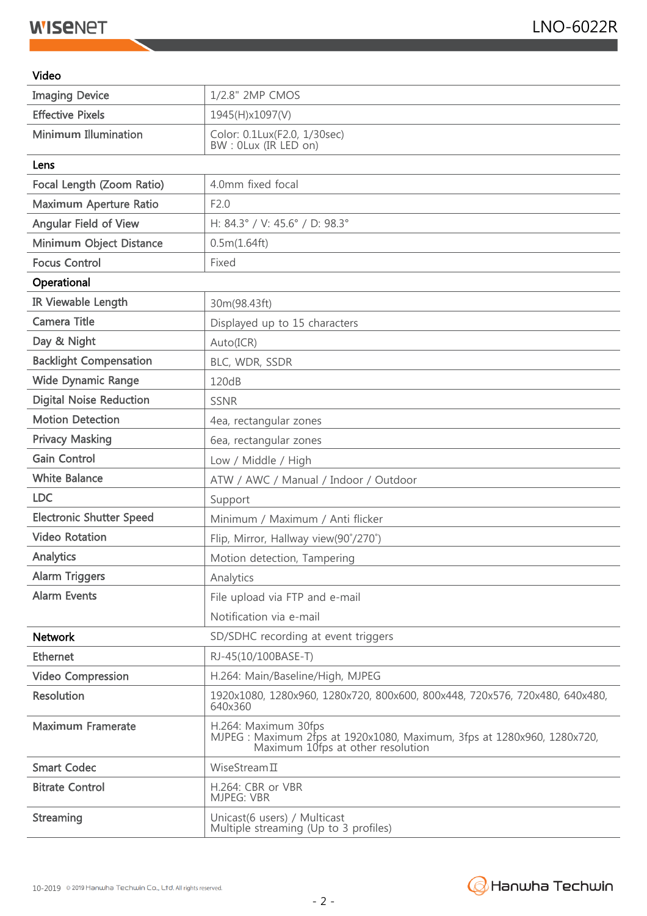## **WISENET**

## Video

| <b>Imaging Device</b>           | 1/2.8" 2MP CMOS                                                                                                                      |
|---------------------------------|--------------------------------------------------------------------------------------------------------------------------------------|
| <b>Effective Pixels</b>         | 1945(H)x1097(V)                                                                                                                      |
| <b>Minimum Illumination</b>     | Color: 0.1Lux(F2.0, 1/30sec)<br>BW: 0Lux (IR LED on)                                                                                 |
| Lens                            |                                                                                                                                      |
| Focal Length (Zoom Ratio)       | 4.0mm fixed focal                                                                                                                    |
| Maximum Aperture Ratio          | F2.0                                                                                                                                 |
| <b>Angular Field of View</b>    | H: 84.3° / V: 45.6° / D: 98.3°                                                                                                       |
| Minimum Object Distance         | 0.5m(1.64ft)                                                                                                                         |
| <b>Focus Control</b>            | Fixed                                                                                                                                |
| Operational                     |                                                                                                                                      |
| IR Viewable Length              | 30m(98.43ft)                                                                                                                         |
| Camera Title                    | Displayed up to 15 characters                                                                                                        |
| Day & Night                     | Auto(ICR)                                                                                                                            |
| <b>Backlight Compensation</b>   | BLC, WDR, SSDR                                                                                                                       |
| <b>Wide Dynamic Range</b>       | 120dB                                                                                                                                |
| <b>Digital Noise Reduction</b>  | <b>SSNR</b>                                                                                                                          |
| <b>Motion Detection</b>         | 4ea, rectangular zones                                                                                                               |
| <b>Privacy Masking</b>          | 6ea, rectangular zones                                                                                                               |
| <b>Gain Control</b>             | Low / Middle / High                                                                                                                  |
| <b>White Balance</b>            | ATW / AWC / Manual / Indoor / Outdoor                                                                                                |
| <b>LDC</b>                      | Support                                                                                                                              |
| <b>Electronic Shutter Speed</b> | Minimum / Maximum / Anti flicker                                                                                                     |
| <b>Video Rotation</b>           | Flip, Mirror, Hallway view(90°/270°)                                                                                                 |
| Analytics                       | Motion detection, Tampering                                                                                                          |
| <b>Alarm Triggers</b>           | Analytics                                                                                                                            |
| <b>Alarm Events</b>             | File upload via FTP and e-mail                                                                                                       |
|                                 | Notification via e-mail                                                                                                              |
| <b>Network</b>                  | SD/SDHC recording at event triggers                                                                                                  |
| <b>Ethernet</b>                 | RJ-45(10/100BASE-T)                                                                                                                  |
| <b>Video Compression</b>        | H.264: Main/Baseline/High, MJPEG                                                                                                     |
| <b>Resolution</b>               | 1920x1080, 1280x960, 1280x720, 800x600, 800x448, 720x576, 720x480, 640x480,<br>640x360                                               |
| <b>Maximum Framerate</b>        | H.264: Maximum 30fps<br>MJPEG : Maximum 2fps at 1920x1080, Maximum, 3fps at 1280x960, 1280x720,<br>Maximum 10fps at other resolution |
| <b>Smart Codec</b>              | WiseStream $\Pi$                                                                                                                     |
| <b>Bitrate Control</b>          | H.264: CBR or VBR<br><b>MJPEG: VBR</b>                                                                                               |
| Streaming                       | Unicast(6 users) / Multicast<br>Multiple streaming (Up to 3 profiles)                                                                |

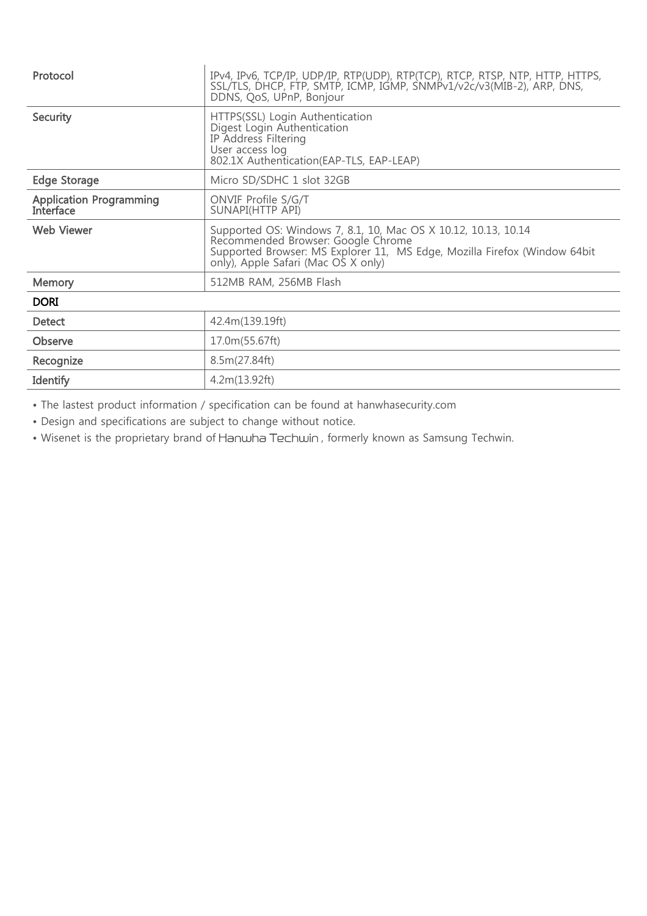| Protocol                                    | IPv4, IPv6, TCP/IP, UDP/IP, RTP(UDP), RTP(TCP), RTCP, RTSP, NTP, HTTP, HTTPS,<br>SSL/TLS, DHCP, FTP, SMTP, ICMP, IGMP, SNMPv1/v2c/v3(MIB-2), ARP, DNS,<br>DDNS, QoS, UPnP, Bonjour                                       |
|---------------------------------------------|--------------------------------------------------------------------------------------------------------------------------------------------------------------------------------------------------------------------------|
| Security                                    | HTTPS(SSL) Login Authentication<br>Digest Login Authentication<br>IP Address Filtering<br>User access log<br>802.1X Authentication(EAP-TLS, EAP-LEAP)                                                                    |
| <b>Edge Storage</b>                         | Micro SD/SDHC 1 slot 32GB                                                                                                                                                                                                |
| <b>Application Programming</b><br>Interface | ONVIF Profile S/G/T<br>SUNAPI(HTTP API)                                                                                                                                                                                  |
| <b>Web Viewer</b>                           | Supported OS: Windows 7, 8.1, 10, Mac OS X 10.12, 10.13, 10.14<br>Recommended Browser: Google Chrome<br>Supported Browser: MS Explorer 11, MS Edge, Mozilla Firefox (Window 64bit<br>only), Apple Safari (Mac OS X only) |
| <b>Memory</b>                               | 512MB RAM, 256MB Flash                                                                                                                                                                                                   |
| <b>DORI</b>                                 |                                                                                                                                                                                                                          |
| <b>Detect</b>                               | 42.4m(139.19ft)                                                                                                                                                                                                          |
| Observe                                     | 17.0m(55.67ft)                                                                                                                                                                                                           |
| Recognize                                   | 8.5m(27.84ft)                                                                                                                                                                                                            |
| Identify                                    | 4.2m(13.92ft)                                                                                                                                                                                                            |

• The lastest product information / specification can be found at hanwhasecurity.com

• Design and specifications are subject to change without notice.

• Wisenet is the proprietary brand of Hanwha Techwin, formerly known as Samsung Techwin.